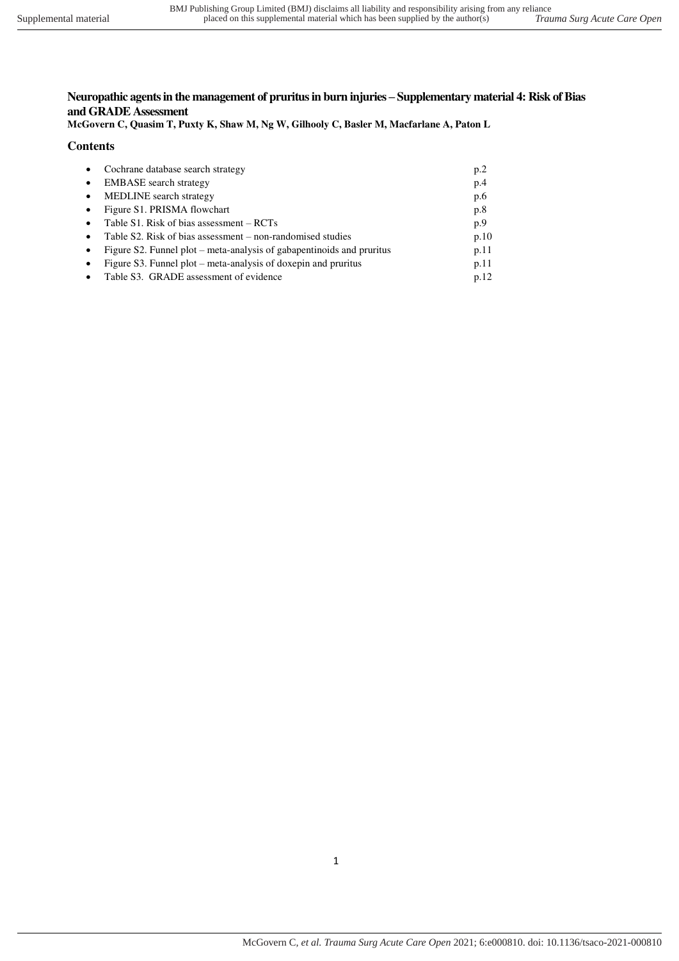## **Neuropathic agents in the management of pruritus in burn injuries – Supplementary material 4: Risk of Bias and GRADE Assessment**

**McGovern C, Quasim T, Puxty K, Shaw M, Ng W, Gilhooly C, Basler M, Macfarlane A, Paton L** 

## **Contents**

|           | Cochrane database search strategy                                     | p <sub>0</sub> |
|-----------|-----------------------------------------------------------------------|----------------|
|           | <b>EMBASE</b> search strategy                                         | p.4            |
| $\bullet$ | <b>MEDLINE</b> search strategy                                        | p.6            |
|           | Figure S1. PRISMA flowchart                                           | p.8            |
|           | Table S1. Risk of bias assessment – RCTs                              | p.9            |
|           | Table S2. Risk of bias assessment – non-randomised studies            | p.10           |
|           | Figure S2. Funnel plot – meta-analysis of gabapentinoids and pruritus | p.11           |
|           | Figure S3. Funnel plot – meta-analysis of doxepin and pruritus        | p.11           |
|           | Table S3. GRADE assessment of evidence                                | p.12           |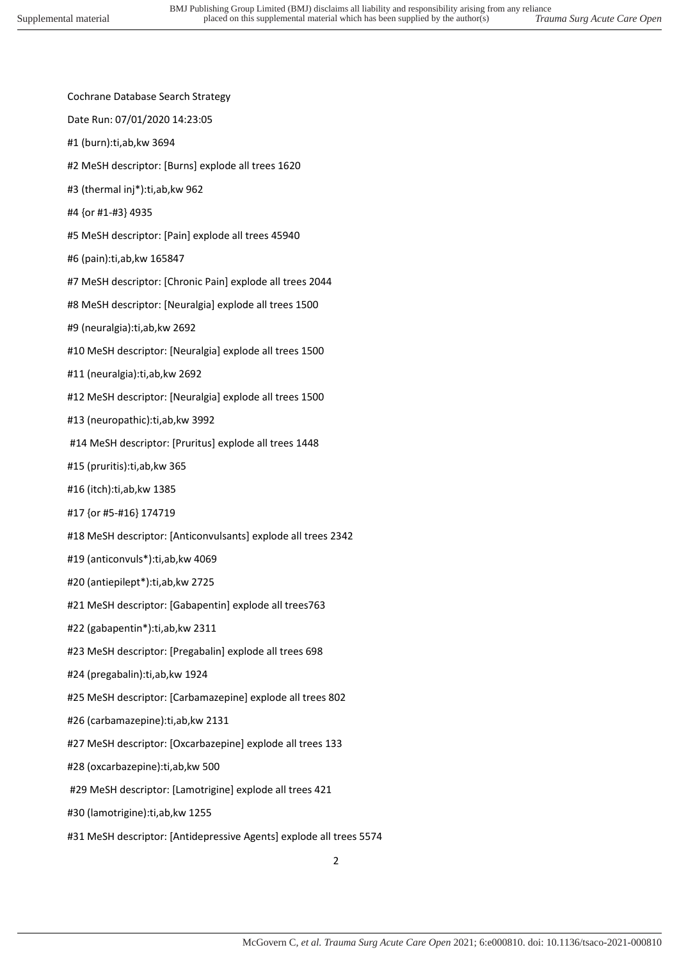- Cochrane Database Search Strategy
- Date Run: 07/01/2020 14:23:05
- #1 (burn):ti,ab,kw 3694
- #2 MeSH descriptor: [Burns] explode all trees 1620
- #3 (thermal inj\*):ti,ab,kw 962
- #4 {or #1-#3} 4935
- #5 MeSH descriptor: [Pain] explode all trees 45940
- #6 (pain):ti,ab,kw 165847
- #7 MeSH descriptor: [Chronic Pain] explode all trees 2044
- #8 MeSH descriptor: [Neuralgia] explode all trees 1500
- #9 (neuralgia):ti,ab,kw 2692
- #10 MeSH descriptor: [Neuralgia] explode all trees 1500
- #11 (neuralgia):ti,ab,kw 2692
- #12 MeSH descriptor: [Neuralgia] explode all trees 1500
- #13 (neuropathic):ti,ab,kw 3992
- #14 MeSH descriptor: [Pruritus] explode all trees 1448
- #15 (pruritis):ti,ab,kw 365
- #16 (itch):ti,ab,kw 1385
- #17 {or #5-#16} 174719
- #18 MeSH descriptor: [Anticonvulsants] explode all trees 2342
- #19 (anticonvuls\*):ti,ab,kw 4069
- #20 (antiepilept\*):ti,ab,kw 2725
- #21 MeSH descriptor: [Gabapentin] explode all trees763
- #22 (gabapentin\*):ti,ab,kw 2311
- #23 MeSH descriptor: [Pregabalin] explode all trees 698
- #24 (pregabalin):ti,ab,kw 1924
- #25 MeSH descriptor: [Carbamazepine] explode all trees 802
- #26 (carbamazepine):ti,ab,kw 2131
- #27 MeSH descriptor: [Oxcarbazepine] explode all trees 133
- #28 (oxcarbazepine):ti,ab,kw 500
- #29 MeSH descriptor: [Lamotrigine] explode all trees 421
- #30 (lamotrigine):ti,ab,kw 1255
- #31 MeSH descriptor: [Antidepressive Agents] explode all trees 5574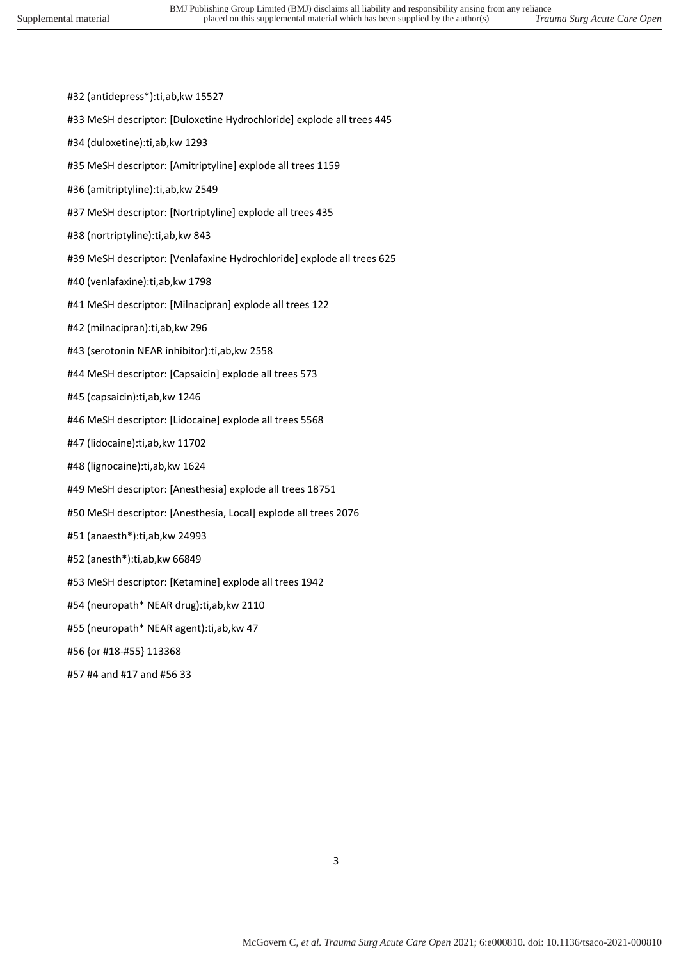- #32 (antidepress\*):ti,ab,kw 15527
- #33 MeSH descriptor: [Duloxetine Hydrochloride] explode all trees 445
- #34 (duloxetine):ti,ab,kw 1293
- #35 MeSH descriptor: [Amitriptyline] explode all trees 1159
- #36 (amitriptyline):ti,ab,kw 2549
- #37 MeSH descriptor: [Nortriptyline] explode all trees 435
- #38 (nortriptyline):ti,ab,kw 843
- #39 MeSH descriptor: [Venlafaxine Hydrochloride] explode all trees 625
- #40 (venlafaxine):ti,ab,kw 1798
- #41 MeSH descriptor: [Milnacipran] explode all trees 122
- #42 (milnacipran):ti,ab,kw 296
- #43 (serotonin NEAR inhibitor):ti,ab,kw 2558
- #44 MeSH descriptor: [Capsaicin] explode all trees 573
- #45 (capsaicin):ti,ab,kw 1246
- #46 MeSH descriptor: [Lidocaine] explode all trees 5568
- #47 (lidocaine):ti,ab,kw 11702
- #48 (lignocaine):ti,ab,kw 1624
- #49 MeSH descriptor: [Anesthesia] explode all trees 18751
- #50 MeSH descriptor: [Anesthesia, Local] explode all trees 2076
- #51 (anaesth\*):ti,ab,kw 24993
- #52 (anesth\*):ti,ab,kw 66849
- #53 MeSH descriptor: [Ketamine] explode all trees 1942
- #54 (neuropath\* NEAR drug):ti,ab,kw 2110
- #55 (neuropath\* NEAR agent):ti,ab,kw 47
- #56 {or #18-#55} 113368
- #57 #4 and #17 and #56 33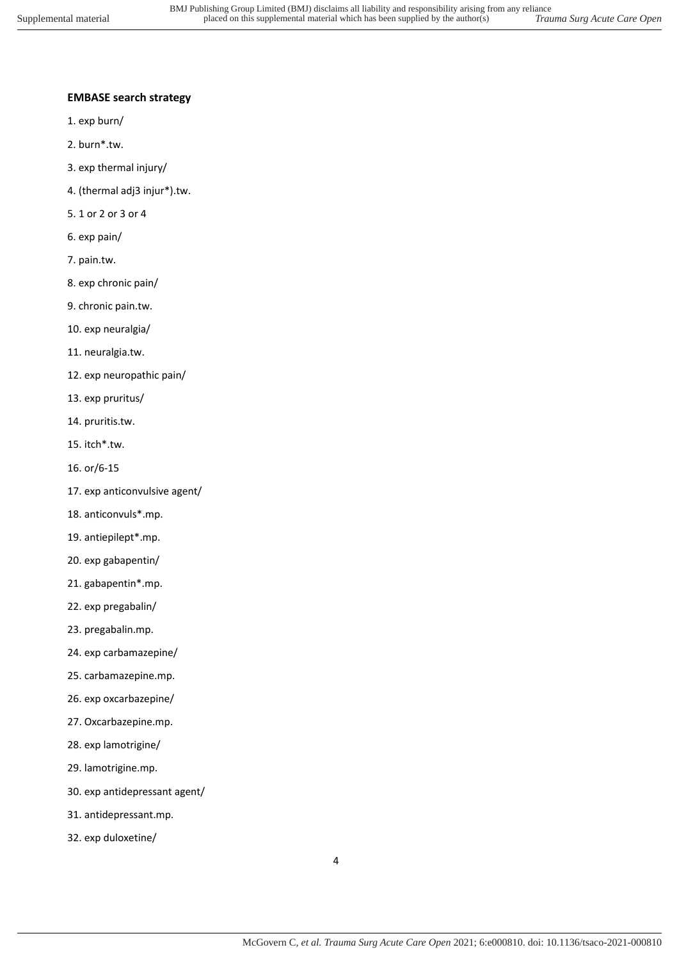## **EMBASE search strategy**

- 1. exp burn/
- 2. burn\*.tw.
- 3. exp thermal injury/
- 4. (thermal adj3 injur\*).tw.
- 5. 1 or 2 or 3 or 4
- 6. exp pain/
- 7. pain.tw.
- 8. exp chronic pain/
- 9. chronic pain.tw.
- 10. exp neuralgia/
- 11. neuralgia.tw.
- 12. exp neuropathic pain/
- 13. exp pruritus/
- 14. pruritis.tw.
- 15. itch\*.tw.
- 16. or/6-15
- 17. exp anticonvulsive agent/
- 18. anticonvuls\*.mp.
- 19. antiepilept\*.mp.
- 20. exp gabapentin/
- 21. gabapentin\*.mp.
- 22. exp pregabalin/
- 23. pregabalin.mp.
- 24. exp carbamazepine/
- 25. carbamazepine.mp.
- 26. exp oxcarbazepine/
- 27. Oxcarbazepine.mp.
- 28. exp lamotrigine/
- 29. lamotrigine.mp.
- 30. exp antidepressant agent/
- 31. antidepressant.mp.
- 32. exp duloxetine/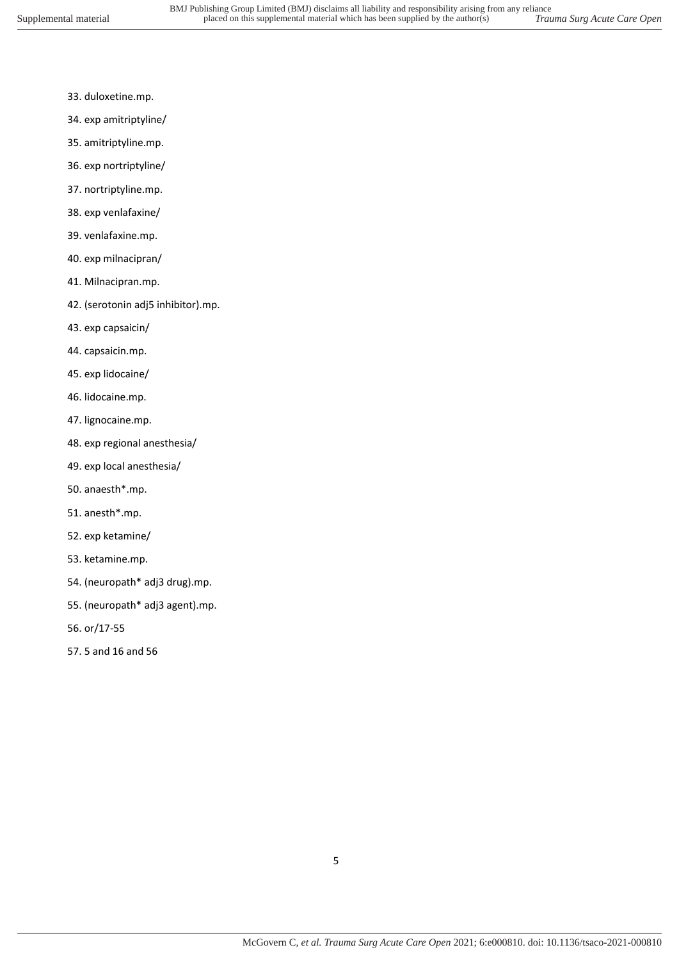- 33. duloxetine.mp.
- 34. exp amitriptyline/
- 35. amitriptyline.mp.
- 36. exp nortriptyline/
- 37. nortriptyline.mp.
- 38. exp venlafaxine/
- 39. venlafaxine.mp.
- 40. exp milnacipran/
- 41. Milnacipran.mp.
- 42. (serotonin adj5 inhibitor).mp.
- 43. exp capsaicin/
- 44. capsaicin.mp.
- 45. exp lidocaine/
- 46. lidocaine.mp.
- 47. lignocaine.mp.
- 48. exp regional anesthesia/
- 49. exp local anesthesia/
- 50. anaesth\*.mp.
- 51. anesth\*.mp.
- 52. exp ketamine/
- 53. ketamine.mp.
- 54. (neuropath\* adj3 drug).mp.
- 55. (neuropath\* adj3 agent).mp.
- 56. or/17-55
- 57. 5 and 16 and 56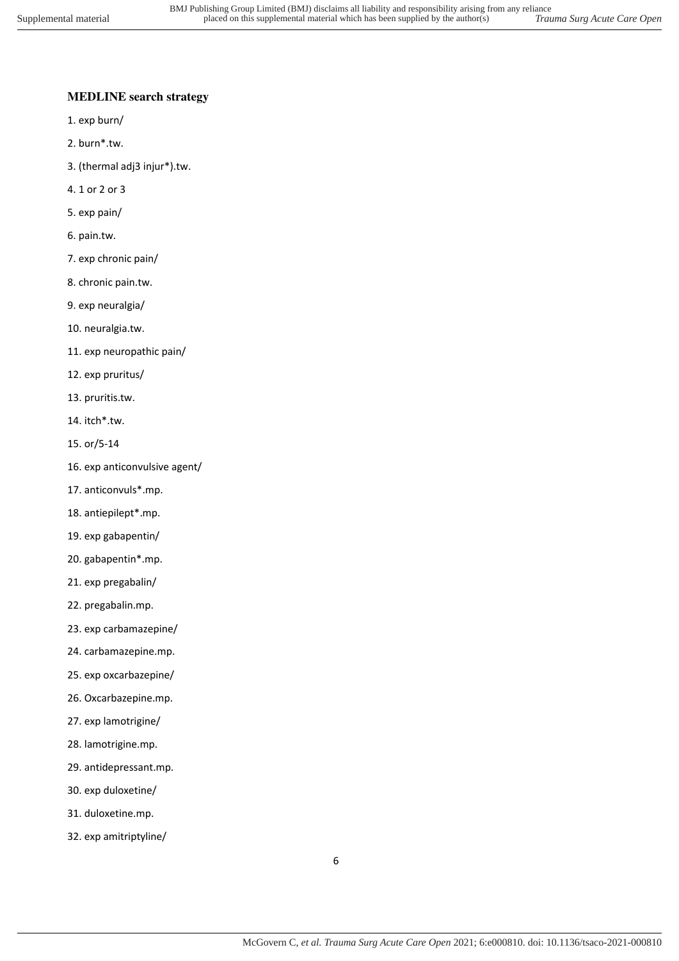## **MEDLINE search strategy**

- 1. exp burn/
- 2. burn\*.tw.
- 3. (thermal adj3 injur\*).tw.
- 4. 1 or 2 or 3
- 5. exp pain/
- 6. pain.tw.
- 7. exp chronic pain/
- 8. chronic pain.tw.
- 9. exp neuralgia/
- 10. neuralgia.tw.
- 11. exp neuropathic pain/
- 12. exp pruritus/
- 13. pruritis.tw.
- 14. itch\*.tw.
- 15. or/5-14
- 16. exp anticonvulsive agent/
- 17. anticonvuls\*.mp.
- 18. antiepilept\*.mp.
- 19. exp gabapentin/
- 20. gabapentin\*.mp.
- 21. exp pregabalin/
- 22. pregabalin.mp.
- 23. exp carbamazepine/
- 24. carbamazepine.mp.
- 25. exp oxcarbazepine/
- 26. Oxcarbazepine.mp.
- 27. exp lamotrigine/
- 28. lamotrigine.mp.
- 29. antidepressant.mp.
- 30. exp duloxetine/
- 31. duloxetine.mp.
- 32. exp amitriptyline/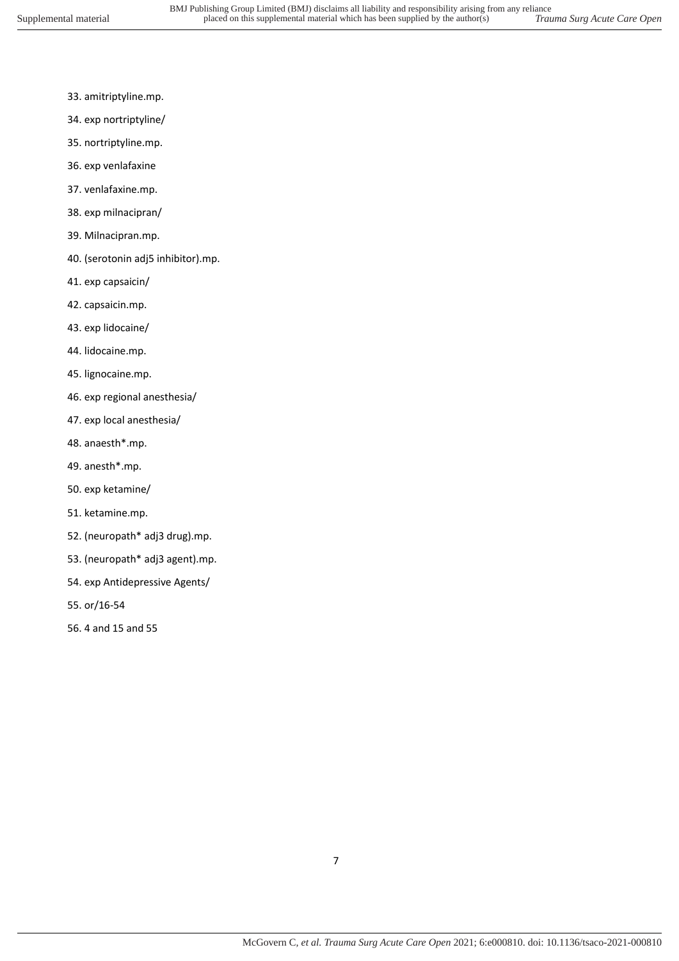- 33. amitriptyline.mp.
- 34. exp nortriptyline/
- 35. nortriptyline.mp.
- 36. exp venlafaxine
- 37. venlafaxine.mp.
- 38. exp milnacipran/
- 39. Milnacipran.mp.
- 40. (serotonin adj5 inhibitor).mp.
- 41. exp capsaicin/
- 42. capsaicin.mp.
- 43. exp lidocaine/
- 44. lidocaine.mp.
- 45. lignocaine.mp.
- 46. exp regional anesthesia/
- 47. exp local anesthesia/
- 48. anaesth\*.mp.
- 49. anesth\*.mp.
- 50. exp ketamine/
- 51. ketamine.mp.
- 52. (neuropath\* adj3 drug).mp.
- 53. (neuropath\* adj3 agent).mp.
- 54. exp Antidepressive Agents/
- 55. or/16-54
- 56. 4 and 15 and 55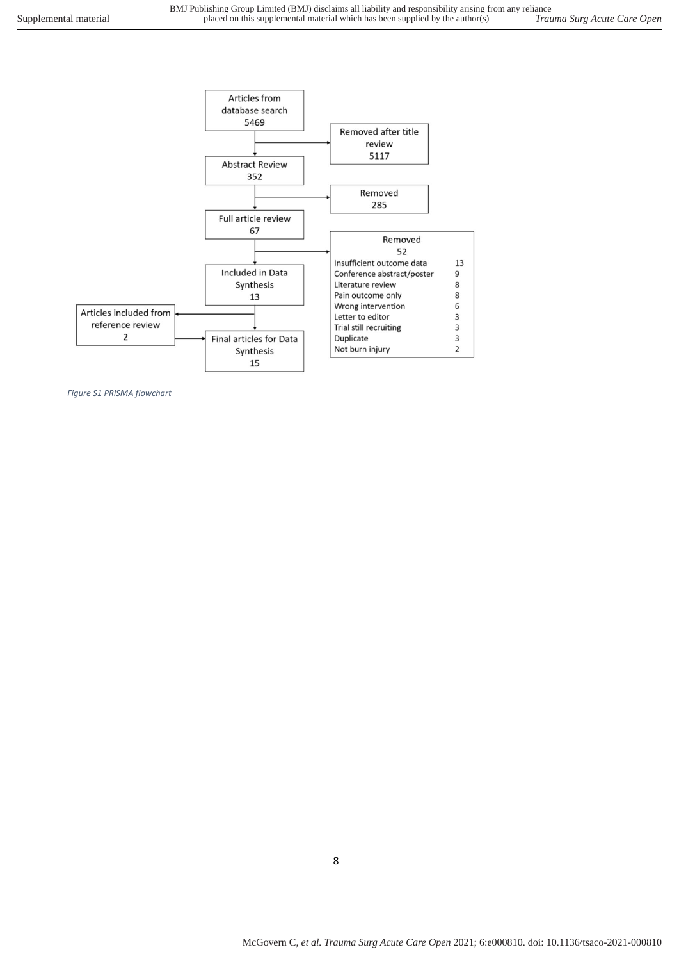

*Figure S1 PRISMA flowchart* 

8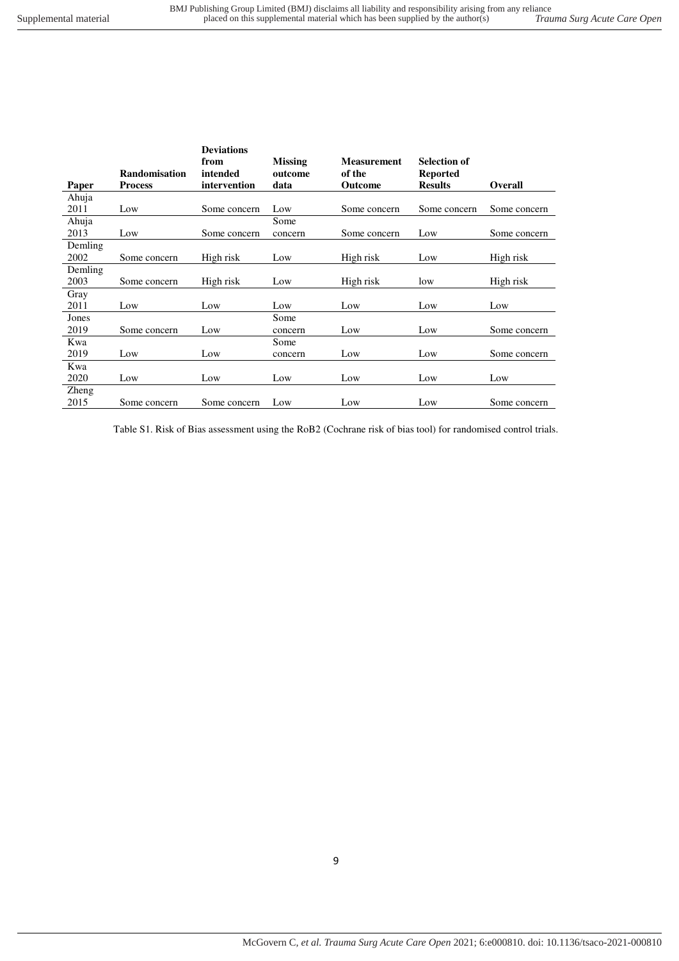| Paper   | <b>Randomisation</b><br><b>Process</b> | <b>Deviations</b><br>from<br>intended<br>intervention | <b>Missing</b><br>outcome<br>data | <b>Measurement</b><br>of the<br>Outcome | <b>Selection of</b><br><b>Reported</b><br><b>Results</b> | Overall      |
|---------|----------------------------------------|-------------------------------------------------------|-----------------------------------|-----------------------------------------|----------------------------------------------------------|--------------|
| Ahuja   |                                        |                                                       |                                   |                                         |                                                          |              |
| 2011    | Low                                    | Some concern                                          | Low                               | Some concern                            | Some concern                                             | Some concern |
| Ahuja   |                                        |                                                       | Some                              |                                         |                                                          |              |
| 2013    | Low                                    | Some concern                                          | concern                           | Some concern                            | Low                                                      | Some concern |
| Demling |                                        |                                                       |                                   |                                         |                                                          |              |
| 2002    | Some concern                           | High risk                                             | Low                               | High risk                               | Low                                                      | High risk    |
| Demling |                                        |                                                       |                                   |                                         |                                                          |              |
| 2003    | Some concern                           | High risk                                             | Low                               | High risk                               | low                                                      | High risk    |
| Gray    |                                        |                                                       |                                   |                                         |                                                          |              |
| 2011    | Low                                    | Low                                                   | Low                               | Low                                     | Low                                                      | Low          |
| Jones   |                                        |                                                       | Some                              |                                         |                                                          |              |
| 2019    | Some concern                           | Low                                                   | concern                           | Low                                     | Low                                                      | Some concern |
| Kwa     |                                        |                                                       | Some                              |                                         |                                                          |              |
| 2019    | Low                                    | Low                                                   | concern                           | Low                                     | Low                                                      | Some concern |
| Kwa     |                                        |                                                       |                                   |                                         |                                                          |              |
| 2020    | Low                                    | Low                                                   | Low                               | Low                                     | Low                                                      | Low          |
| Zheng   |                                        |                                                       |                                   |                                         |                                                          |              |
| 2015    | Some concern                           | Some concern                                          | Low                               | Low                                     | Low                                                      | Some concern |

Table S1. Risk of Bias assessment using the RoB2 (Cochrane risk of bias tool) for randomised control trials.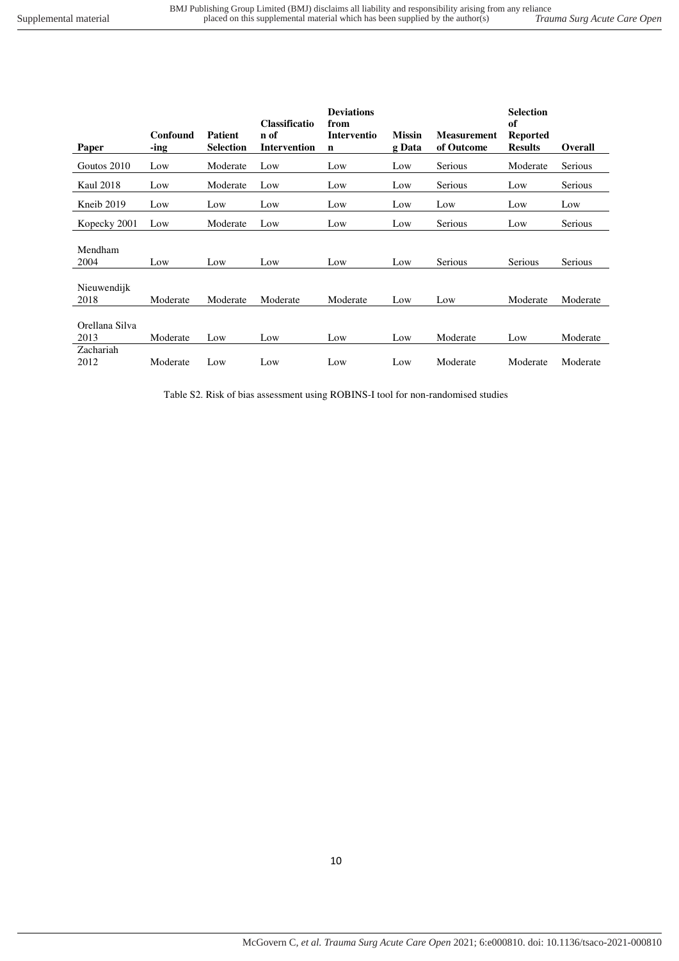| Trauma Surg Acute Care Open |  |
|-----------------------------|--|
|-----------------------------|--|

|                        | Confound | <b>Patient</b>   | <b>Classificatio</b><br>n of | <b>Deviations</b><br>from<br>Interventio | <b>Missin</b> | <b>Measurement</b> | <b>Selection</b><br>of<br><b>Reported</b> |                |
|------------------------|----------|------------------|------------------------------|------------------------------------------|---------------|--------------------|-------------------------------------------|----------------|
| Paper                  | -ing     | <b>Selection</b> | <b>Intervention</b>          | $\mathbf n$                              | g Data        | of Outcome         | <b>Results</b>                            | <b>Overall</b> |
| Goutos 2010            | Low      | Moderate         | Low                          | Low                                      | Low           | Serious            | Moderate                                  | Serious        |
| <b>Kaul 2018</b>       | Low      | Moderate         | Low                          | Low                                      | Low           | Serious            | Low                                       | <b>Serious</b> |
| Kneib 2019             | Low      | Low              | Low                          | Low                                      | Low           | Low                | Low                                       | Low            |
| Kopecky 2001           | Low      | Moderate         | Low                          | Low                                      | Low           | Serious            | Low                                       | Serious        |
| Mendham<br>2004        | Low      | Low              | Low                          | Low                                      | Low           | Serious            | Serious                                   | Serious        |
| Nieuwendijk<br>2018    | Moderate | Moderate         | Moderate                     | Moderate                                 | Low           | Low                | Moderate                                  | Moderate       |
| Orellana Silva<br>2013 | Moderate | Low              | Low                          | Low                                      | Low           | Moderate           | Low                                       | Moderate       |
| Zachariah<br>2012      | Moderate | Low              | Low                          | Low                                      | Low           | Moderate           | Moderate                                  | Moderate       |

Table S2. Risk of bias assessment using ROBINS-I tool for non-randomised studies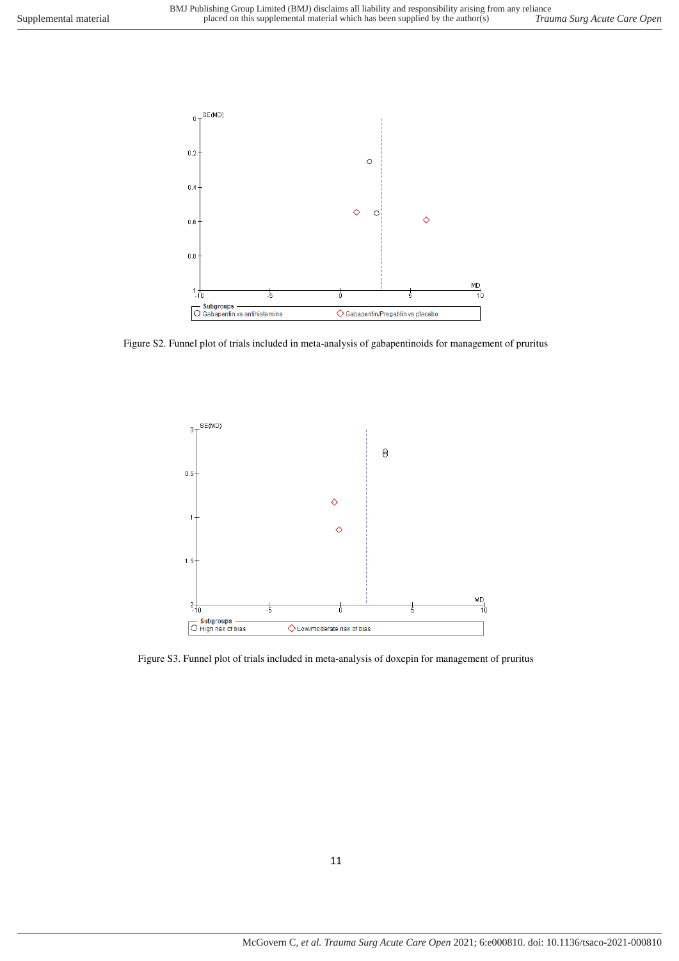

Figure S2. Funnel plot of trials included in meta-analysis of gabapentinoids for management of pruritus



Figure S3. Funnel plot of trials included in meta-analysis of doxepin for management of pruritus